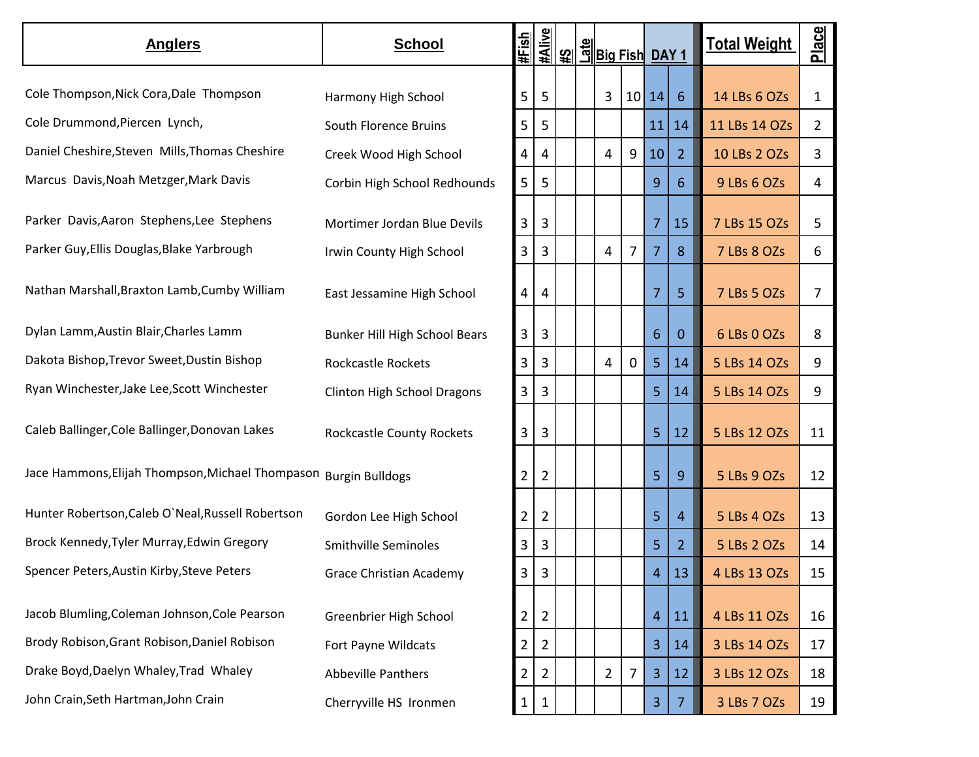| <b>Anglers</b>                                                   | <b>School</b>                        | <b>#Fish</b>   |                |  | <u>ୁଞ୍ଚ</u> ୁ  <br><u>ସୁଥିବା ଅଧାରଣ ।</u><br><u>କାଧାରଣ</u> । |   |                |                | <b>Total Weight</b> | Place          |
|------------------------------------------------------------------|--------------------------------------|----------------|----------------|--|-------------------------------------------------------------|---|----------------|----------------|---------------------|----------------|
| Cole Thompson, Nick Cora, Dale Thompson                          | Harmony High School                  | 5              | 5              |  | 3                                                           |   | 10 14          | 6              | 14 LBs 6 OZs        | $\mathbf{1}$   |
| Cole Drummond, Piercen Lynch,                                    | South Florence Bruins                | 5              | 5              |  |                                                             |   | 11             | 14             | 11 LBs 14 OZs       | $\overline{2}$ |
| Daniel Cheshire, Steven Mills, Thomas Cheshire                   | Creek Wood High School               | 4              | 4              |  | 4                                                           | 9 | 10             | $\overline{2}$ | 10 LBs 2 OZs        | 3              |
| Marcus Davis, Noah Metzger, Mark Davis                           | Corbin High School Redhounds         | 5              | 5              |  |                                                             |   | 9              | 6              | 9 LBs 6 OZs         | 4              |
| Parker Davis, Aaron Stephens, Lee Stephens                       | Mortimer Jordan Blue Devils          | 3              | 3              |  |                                                             |   | 7              | 15             | 7 LBs 15 OZs        | 5              |
| Parker Guy, Ellis Douglas, Blake Yarbrough                       | Irwin County High School             | 3              | 3              |  | 4                                                           | 7 | 7              | 8              | 7 LBs 8 OZs         | 6              |
| Nathan Marshall, Braxton Lamb, Cumby William                     | East Jessamine High School           | 4              | 4              |  |                                                             |   | $\overline{7}$ | 5 <sup>5</sup> | 7 LBs 5 OZs         | 7              |
| Dylan Lamm, Austin Blair, Charles Lamm                           | <b>Bunker Hill High School Bears</b> | 3              | 3              |  |                                                             |   | 6              | $\mathbf{0}$   | 6 LBs 0 OZs         | 8              |
| Dakota Bishop, Trevor Sweet, Dustin Bishop                       | <b>Rockcastle Rockets</b>            | 3              | 3              |  | 4                                                           | 0 | $\overline{5}$ | 14             | 5 LBs 14 OZs        | 9              |
| Ryan Winchester, Jake Lee, Scott Winchester                      | Clinton High School Dragons          | 3              | 3              |  |                                                             |   | 5              | 14             | 5 LBs 14 OZs        | 9              |
| Caleb Ballinger, Cole Ballinger, Donovan Lakes                   | Rockcastle County Rockets            | 3              | 3              |  |                                                             |   | 5              | 12             | 5 LBs 12 OZs        | 11             |
| Jace Hammons, Elijah Thompson, Michael Thompason Burgin Bulldogs |                                      | 2              | $\overline{2}$ |  |                                                             |   | 5              | 9              | 5 LBs 9 OZs         | 12             |
| Hunter Robertson, Caleb O'Neal, Russell Robertson                | Gordon Lee High School               | 2              | $\overline{2}$ |  |                                                             |   | 5              | $\overline{4}$ | 5 LBs 4 OZs         | 13             |
| Brock Kennedy, Tyler Murray, Edwin Gregory                       | <b>Smithville Seminoles</b>          | 3              | 3              |  |                                                             |   | 5              | $\overline{2}$ | 5 LBs 2 OZs         | 14             |
| Spencer Peters, Austin Kirby, Steve Peters                       | <b>Grace Christian Academy</b>       | 3              | $\mathbf{3}$   |  |                                                             |   | 4              | 13             | 4 LBs 13 OZs        | 15             |
| Jacob Blumling, Coleman Johnson, Cole Pearson                    | Greenbrier High School               | $\overline{2}$ | $\overline{2}$ |  |                                                             |   | $\overline{4}$ | 11             | 4 LBs 11 OZs        | 16             |
| Brody Robison, Grant Robison, Daniel Robison                     | Fort Payne Wildcats                  | $\overline{2}$ | $\overline{2}$ |  |                                                             |   | 3              | 14             | 3 LBs 14 OZs        | 17             |
| Drake Boyd, Daelyn Whaley, Trad Whaley                           | Abbeville Panthers                   | $\overline{2}$ | $\overline{2}$ |  | $\overline{2}$                                              | 7 | 3              | 12             | 3 LBs 12 OZs        | 18             |
| John Crain, Seth Hartman, John Crain                             | Cherryville HS Ironmen               | $\mathbf{1}$   | 1              |  |                                                             |   | 3              | $\overline{7}$ | 3 LBs 7 OZs         | 19             |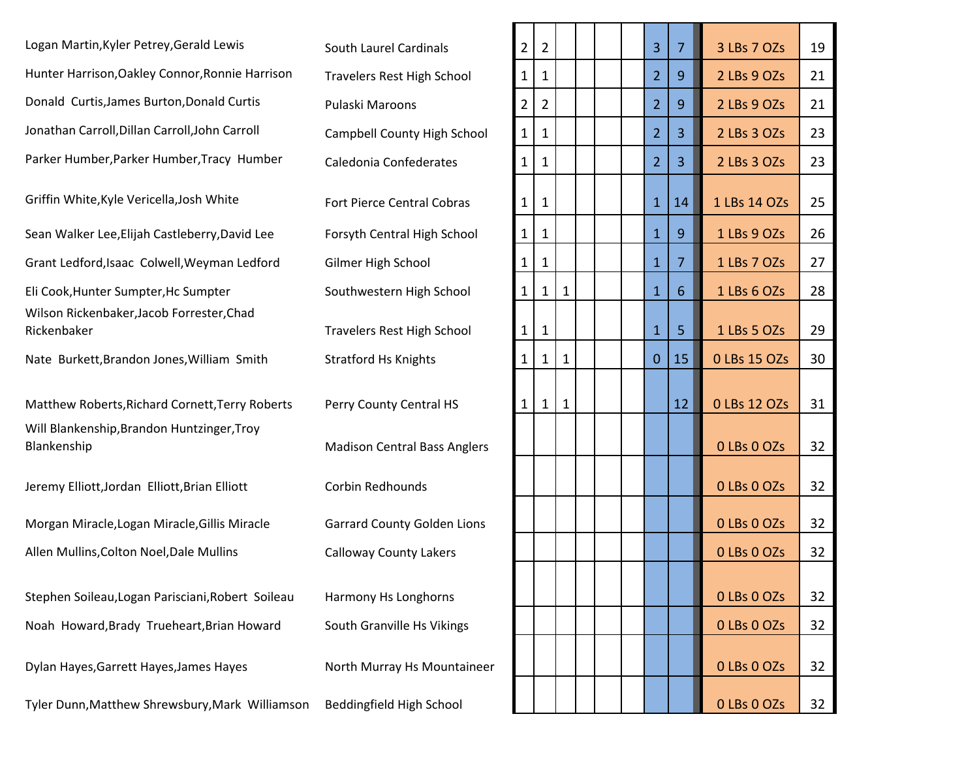Logan Martin, Kyler Petrey, Gerald Lewis South Laurel Cardinals Hunter Harrison, Oakley Connor, Ronnie Harrison Travelers Rest High School Donald Curtis, James Burton, Donald Curtis Pulaski Maroons Jonathan Carroll, Dillan Carroll, John Carroll Campbell County High School Parker Humber, Parker Humber, Tracy Humber Caledonia Confederates Griffin White, Kyle Vericella, Josh White Fort Pierce Central Cobras Sean Walker Lee, Elijah Castleberry, David Lee Forsyth Central High School Grant Ledford, Isaac Colwell, Weyman Ledford Gilmer High School Eli Cook, Hunter Sumpter, Hc Sumpter Sumpter Southwestern High School Wilson Rickenbaker,Jacob Forrester,Chad Rickenbaker Travelers Rest High School 1 1 1 5 1 LBs 5 OZs 29 Nate Burkett, Brandon Jones, William Smith Stratford Hs Knights

Matthew Roberts, Richard Cornett, Terry Roberts Perry County Central HS Will Blankenship,Brandon Huntzinger,Troy Blankenship **Madison Central Bass Anglers** 6 LBs 0 LBs 0 Madison Central Bass Anglers 32

Jeremy Elliott,Jordan Elliott,Brian Elliott Corbin Redhounds

Morgan Miracle, Logan Miracle, Gillis Miracle Garrard County Golden Lions Allen Mullins, Colton Noel, Dale Mullins Calloway County Lakers

Stephen Soileau, Logan Parisciani, Robert Soileau Harmony Hs Longhorns Noah Howard,Brady Trueheart,Brian Howard South Granville Hs Vikings

Dylan Hayes, Garrett Hayes, James Hayes North Murray Hs Mountaineer

Tyler Dunn, Matthew Shrewsbury, Mark Williamson Beddingfield High School

| $\overline{2}$ | $\overline{2}$ |              |  | 3              | $\overline{7}$ | 3 LBs 7 OZs  | 19 |
|----------------|----------------|--------------|--|----------------|----------------|--------------|----|
| $\mathbf{1}$   | $\mathbf{1}$   |              |  | $\overline{2}$ | 9              | 2 LBs 9 OZs  | 21 |
| $\overline{2}$ | $\overline{2}$ |              |  | $\overline{2}$ | 9              | 2 LBs 9 OZs  | 21 |
| 1              | 1              |              |  | $\overline{2}$ | 3              | 2 LBs 3 OZs  | 23 |
| 1              | 1              |              |  | $\overline{2}$ | 3              | 2 LBs 3 OZs  | 23 |
| 1              | 1              |              |  | $\mathbf{1}$   | 14             | 1 LBs 14 OZs | 25 |
| $\mathbf{1}$   | $\mathbf{1}$   |              |  | $\overline{1}$ | 9              | 1 LBs 9 OZs  | 26 |
| 1              | $\mathbf{1}$   |              |  | $\overline{1}$ | 7              | 1 LBs 7 OZs  | 27 |
| $\mathbf{1}$   | 1              | 1            |  | $\overline{1}$ | 6              | 1 LBs 6 OZs  | 28 |
| $\mathbf{1}$   | $\mathbf{1}$   |              |  | $\mathbf{1}$   | 5              | 1 LBs 5 OZs  | 29 |
| $\mathbf{1}$   | $\mathbf{1}$   | $\mathbf{1}$ |  | $\overline{0}$ | 15             | 0 LBs 15 OZs | 30 |
| $\mathbf{1}$   | $\mathbf{1}$   | $\mathbf{1}$ |  |                | 12             | 0 LBs 12 OZs | 31 |
|                |                |              |  |                |                | 0 LBs 0 OZs  | 32 |
|                |                |              |  |                |                | 0 LBs 0 OZs  | 32 |
|                |                |              |  |                |                | 0 LBs 0 OZs  | 32 |
|                |                |              |  |                |                | 0 LBs 0 OZs  | 32 |
|                |                |              |  |                |                | 0 LBs 0 OZs  | 32 |
|                |                |              |  |                |                | 0 LBs 0 OZs  | 32 |
|                |                |              |  |                |                | 0 LBs 0 OZs  | 32 |
|                |                |              |  |                |                | 0 LBs 0 OZs  | 32 |